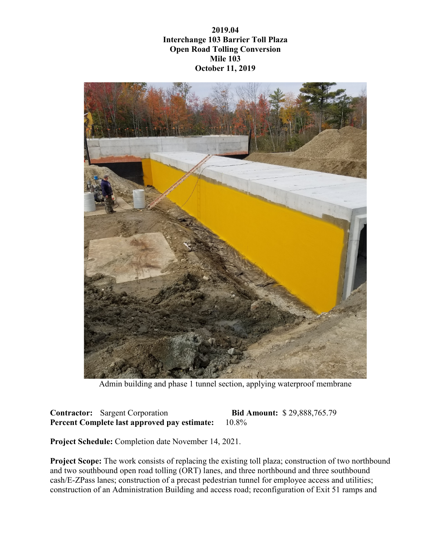**2019.04 Interchange 103 Barrier Toll Plaza Open Road Tolling Conversion Mile 103 October 11, 2019**



Admin building and phase 1 tunnel section, applying waterproof membrane

**Contractor:** Sargent Corporation **Bid Amount:** \$ 29,888,765.79 **Percent Complete last approved pay estimate:** 10.8%

**Project Schedule:** Completion date November 14, 2021.

**Project Scope:** The work consists of replacing the existing toll plaza; construction of two northbound and two southbound open road tolling (ORT) lanes, and three northbound and three southbound cash/E-ZPass lanes; construction of a precast pedestrian tunnel for employee access and utilities; construction of an Administration Building and access road; reconfiguration of Exit 51 ramps and